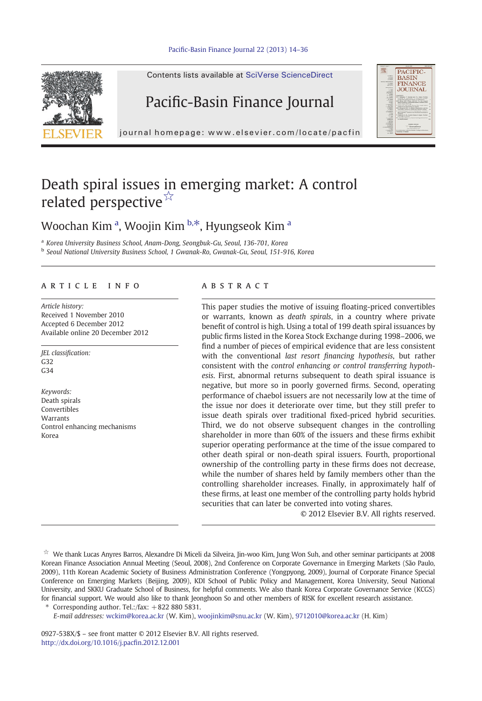

Contents lists available at SciVerse ScienceDirect

### Pacific-Basin Finance Journal



journal homepage: www.elsevier.com/locate/pacfin

## Death spiral issues in emerging market: A control related perspective<sup>☆</sup>

### Woochan Kim <sup>a</sup>, Woojin Kim <sup>b,\*</sup>, Hyungseok Kim <sup>a</sup>

<sup>a</sup> Korea University Business School, Anam-Dong, Seongbuk-Gu, Seoul, 136-701, Korea <sup>b</sup> Seoul National University Business School, 1 Gwanak-Ro, Gwanak-Gu, Seoul, 151-916, Korea

#### article info abstract

Article history: Received 1 November 2010 Accepted 6 December 2012 Available online 20 December 2012

JEL classification: G32  $C34$ 

Keywords: Death spirals Convertibles Warrants Control enhancing mechanisms Korea

This paper studies the motive of issuing floating-priced convertibles or warrants, known as death spirals, in a country where private benefit of control is high. Using a total of 199 death spiral issuances by public firms listed in the Korea Stock Exchange during 1998–2006, we find a number of pieces of empirical evidence that are less consistent with the conventional last resort financing hypothesis, but rather consistent with the control enhancing or control transferring hypothesis. First, abnormal returns subsequent to death spiral issuance is negative, but more so in poorly governed firms. Second, operating performance of chaebol issuers are not necessarily low at the time of the issue nor does it deteriorate over time, but they still prefer to issue death spirals over traditional fixed-priced hybrid securities. Third, we do not observe subsequent changes in the controlling shareholder in more than 60% of the issuers and these firms exhibit superior operating performance at the time of the issue compared to other death spiral or non-death spiral issuers. Fourth, proportional ownership of the controlling party in these firms does not decrease, while the number of shares held by family members other than the controlling shareholder increases. Finally, in approximately half of these firms, at least one member of the controlling party holds hybrid securities that can later be converted into voting shares.

© 2012 Elsevier B.V. All rights reserved.

☆ We thank Lucas Anyres Barros, Alexandre Di Miceli da Silveira, Jin-woo Kim, Jung Won Suh, and other seminar participants at 2008 Korean Finance Association Annual Meeting (Seoul, 2008), 2nd Conference on Corporate Governance in Emerging Markets (São Paulo, 2009), 11th Korean Academic Society of Business Administration Conference (Yongpyong, 2009), Journal of Corporate Finance Special Conference on Emerging Markets (Beijing, 2009), KDI School of Public Policy and Management, Korea University, Seoul National University, and SKKU Graduate School of Business, for helpful comments. We also thank Korea Corporate Governance Service (KCGS) for financial support. We would also like to thank Jeonghoon So and other members of RISK for excellent research assistance.

Corresponding author. Tel.:/fax:  $+8228805831$ .

E-mail addresses: [wckim@korea.ac.kr](mailto:wckim@korea.ac.kr) (W. Kim), [woojinkim@snu.ac.kr](mailto:woojinkim@snu.ac.kr) (W. Kim), [9712010@korea.ac.kr](mailto:9712010@korea.ac.kr) (H. Kim)

0927-538X/\$ – see front matter © 2012 Elsevier B.V. All rights reserved. [http://dx.doi.org/10.1016/j.pac](http://dx.doi.org/10.1016/j.pacfin.2012.12.001)fin.2012.12.001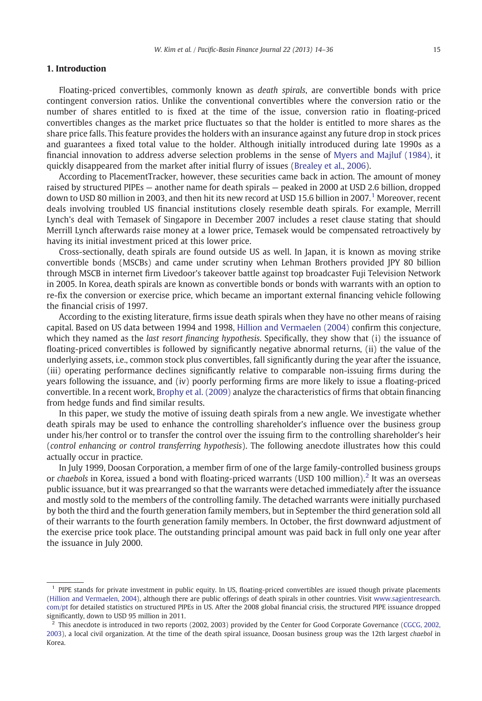### 1. Introduction

Floating-priced convertibles, commonly known as *death spirals*, are convertible bonds with price contingent conversion ratios. Unlike the conventional convertibles where the conversion ratio or the number of shares entitled to is fixed at the time of the issue, conversion ratio in floating-priced convertibles changes as the market price fluctuates so that the holder is entitled to more shares as the share price falls. This feature provides the holders with an insurance against any future drop in stock prices and guarantees a fixed total value to the holder. Although initially introduced during late 1990s as a financial innovation to address adverse selection problems in the sense of [Myers and Majluf \(1984\),](#page--1-0) it quickly disappeared from the market after initial flurry of issues ([Brealey et al., 2006](#page--1-0)).

According to PlacementTracker, however, these securities came back in action. The amount of money raised by structured PIPEs — another name for death spirals — peaked in 2000 at USD 2.6 billion, dropped down to USD 80 million in 2003, and then hit its new record at USD 15.6 billion in 2007.<sup>1</sup> Moreover, recent deals involving troubled US financial institutions closely resemble death spirals. For example, Merrill Lynch's deal with Temasek of Singapore in December 2007 includes a reset clause stating that should Merrill Lynch afterwards raise money at a lower price, Temasek would be compensated retroactively by having its initial investment priced at this lower price.

Cross-sectionally, death spirals are found outside US as well. In Japan, it is known as moving strike convertible bonds (MSCBs) and came under scrutiny when Lehman Brothers provided JPY 80 billion through MSCB in internet firm Livedoor's takeover battle against top broadcaster Fuji Television Network in 2005. In Korea, death spirals are known as convertible bonds or bonds with warrants with an option to re-fix the conversion or exercise price, which became an important external financing vehicle following the financial crisis of 1997.

According to the existing literature, firms issue death spirals when they have no other means of raising capital. Based on US data between 1994 and 1998, [Hillion and Vermaelen \(2004\)](#page--1-0) confirm this conjecture, which they named as the *last resort financing hypothesis*. Specifically, they show that (i) the issuance of floating-priced convertibles is followed by significantly negative abnormal returns, (ii) the value of the underlying assets, i.e., common stock plus convertibles, fall significantly during the year after the issuance, (iii) operating performance declines significantly relative to comparable non-issuing firms during the years following the issuance, and (iv) poorly performing firms are more likely to issue a floating-priced convertible. In a recent work, [Brophy et al. \(2009\)](#page--1-0) analyze the characteristics of firms that obtain financing from hedge funds and find similar results.

In this paper, we study the motive of issuing death spirals from a new angle. We investigate whether death spirals may be used to enhance the controlling shareholder's influence over the business group under his/her control or to transfer the control over the issuing firm to the controlling shareholder's heir (control enhancing or control transferring hypothesis). The following anecdote illustrates how this could actually occur in practice.

In July 1999, Doosan Corporation, a member firm of one of the large family-controlled business groups or chaebols in Korea, issued a bond with floating-priced warrants (USD 100 million).<sup>2</sup> It was an overseas public issuance, but it was prearranged so that the warrants were detached immediately after the issuance and mostly sold to the members of the controlling family. The detached warrants were initially purchased by both the third and the fourth generation family members, but in September the third generation sold all of their warrants to the fourth generation family members. In October, the first downward adjustment of the exercise price took place. The outstanding principal amount was paid back in full only one year after the issuance in July 2000.

<sup>&</sup>lt;sup>1</sup> PIPE stands for private investment in public equity. In US, floating-priced convertibles are issued though private placements [\(Hillion and Vermaelen, 2004\)](#page--1-0), although there are public offerings of death spirals in other countries. Visit [www.sagientresearch.](http://www.sagientresearch.com/pt) [com/pt](http://www.sagientresearch.com/pt) for detailed statistics on structured PIPEs in US. After the 2008 global financial crisis, the structured PIPE issuance dropped significantly, down to USD 95 million in 2011.

 $^2$  This anecdote is introduced in two reports (2002, 2003) provided by the Center for Good Corporate Governance ([CGCG, 2002,](#page--1-0) [2003\)](#page--1-0), a local civil organization. At the time of the death spiral issuance, Doosan business group was the 12th largest chaebol in Korea.